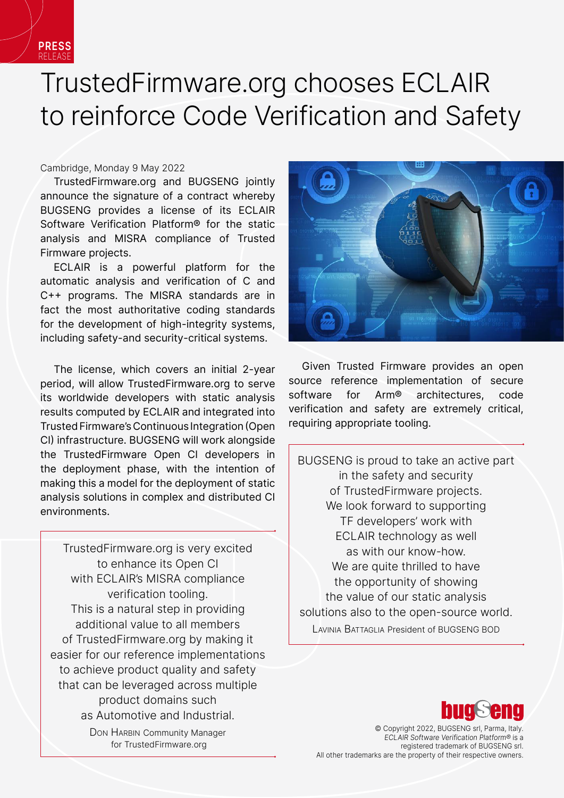

## TrustedFirmware.org chooses ECLAIR to reinforce Code Verification and Safety

Cambridge, Monday 9 May 2022

TrustedFirmware.org and BUGSENG jointly announce the signature of a contract whereby BUGSENG provides a license of its ECLAIR Software Verification Platform® for the static analysis and MISRA compliance of Trusted Firmware projects.

ECLAIR is a powerful platform for the automatic analysis and verification of C and C++ programs. The MISRA standards are in fact the most authoritative coding standards for the development of high-integrity systems, including safety-and security-critical systems.

The license, which covers an initial 2-year period, will allow TrustedFirmware.org to serve its worldwide developers with static analysis results computed by ECLAIR and integrated into Trusted Firmware's Continuous Integration (Open CI) infrastructure. BUGSENG will work alongside the TrustedFirmware Open CI developers in the deployment phase, with the intention of making this a model for the deployment of static analysis solutions in complex and distributed CI environments.

TrustedFirmware.org is very excited to enhance its Open CI with ECLAIR's MISRA compliance verification tooling. This is a natural step in providing additional value to all members of TrustedFirmware.org by making it easier for our reference implementations to achieve product quality and safety that can be leveraged across multiple product domains such as Automotive and Industrial.

> Don HARBIN Community Manager for TrustedFirmware.org



Given Trusted Firmware provides an open source reference implementation of secure software for Arm® architectures, code verification and safety are extremely critical, requiring appropriate tooling.

BUGSENG is proud to take an active part in the safety and security of TrustedFirmware projects. We look forward to supporting TF developers' work with ECLAIR technology as well as with our know-how. We are quite thrilled to have the opportunity of showing the value of our static analysis solutions also to the open-source world. Lavinia Battaglia President of BUGSENG BOD



© Copyright 2022, BUGSENG srl, Parma, Italy. ECLAIR Software Verification Platform® is a registered trademark of BUGSENG srl. All other trademarks are the property of their respective owners.